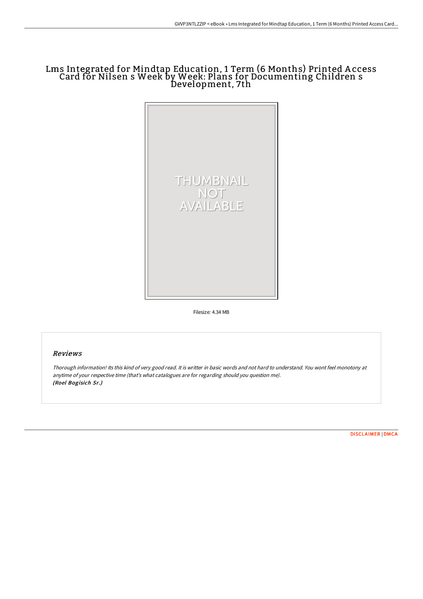## Lms Integrated for Mindtap Education, 1 Term (6 Months) Printed A ccess Card for Nilsen s Week by Week: Plans for Documenting Children s Development, 7th



Filesize: 4.34 MB

## Reviews

Thorough information! Its this kind of very good read. It is writter in basic words and not hard to understand. You wont feel monotony at anytime of your respective time (that's what catalogues are for regarding should you question me). (Roel Bogisich Sr.)

[DISCLAIMER](http://www.bookdirs.com/disclaimer.html) | [DMCA](http://www.bookdirs.com/dmca.html)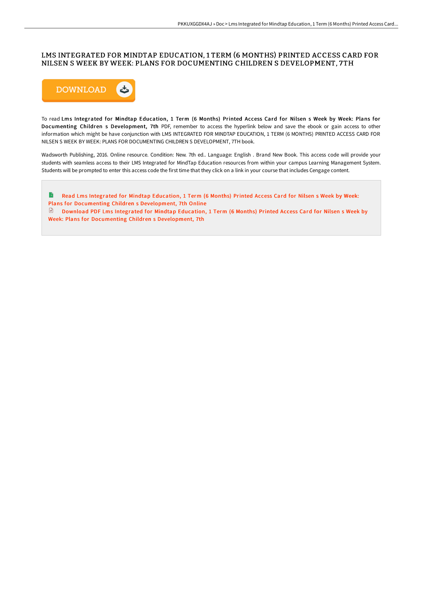## LMS INTEGRATED FOR MINDTAP EDUCATION, 1 TERM (6 MONTHS) PRINTED ACCESS CARD FOR NILSEN S WEEK BY WEEK: PLANS FOR DOCUMENTING CHILDREN S DEVELOPMENT, 7TH



To read Lms Integrated for Mindtap Education, 1 Term (6 Months) Printed Access Card for Nilsen s Week by Week: Plans for Documenting Children s Development, 7th PDF, remember to access the hyperlink below and save the ebook or gain access to other information which might be have conjunction with LMS INTEGRATED FOR MINDTAP EDUCATION, 1 TERM (6 MONTHS) PRINTED ACCESS CARD FOR NILSEN S WEEK BY WEEK: PLANS FOR DOCUMENTING CHILDREN S DEVELOPMENT, 7TH book.

Wadsworth Publishing, 2016. Online resource. Condition: New. 7th ed.. Language: English . Brand New Book. This access code will provide your students with seamless access to their LMS Integrated for MindTap Education resources from within your campus Learning Management System. Students will be prompted to enter this access code the first time that they click on a link in your course that includes Cengage content.

Read Lms Integrated for Mindtap Education, 1 Term (6 Months) Printed Access Card for Nilsen s Week by Week: Plans for Documenting Children s [Development,](http://www.bookdirs.com/lms-integrated-for-mindtap-education-1-term-6-mo-4.html) 7th Online Download PDF Lms Integrated for Mindtap Education, 1 Term (6 Months) Printed Access Card for Nilsen s Week by Week: Plans for Documenting Children s [Development,](http://www.bookdirs.com/lms-integrated-for-mindtap-education-1-term-6-mo-4.html) 7th